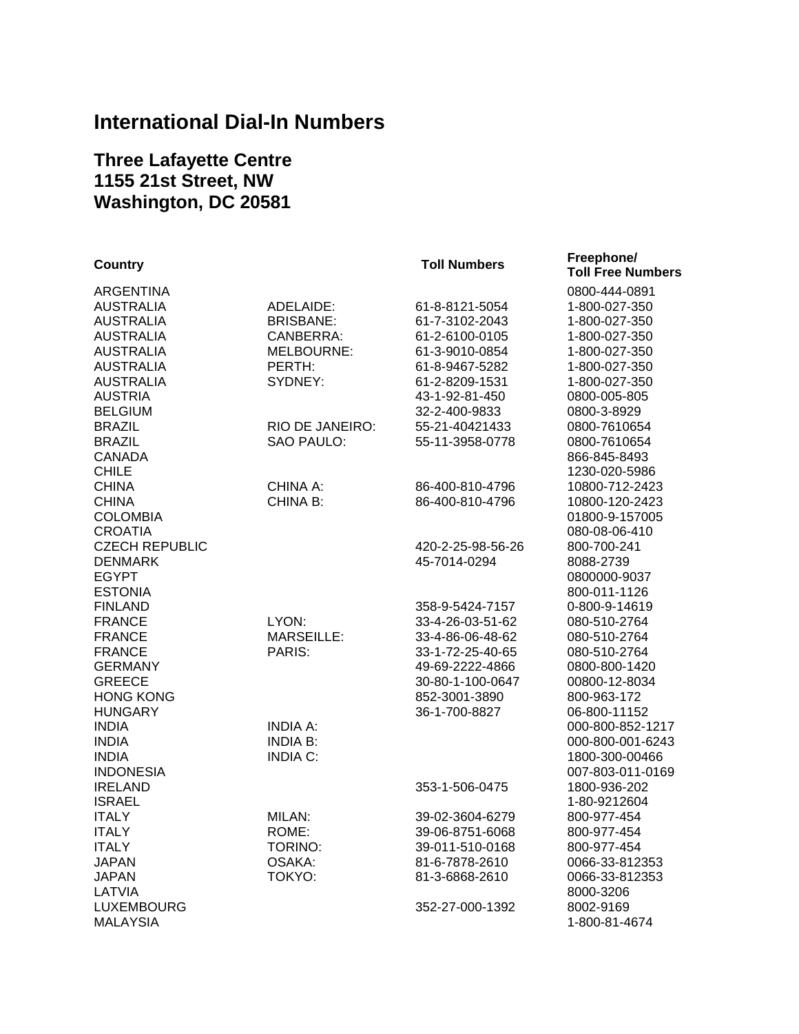## **International Dial-In Numbers**

## **Three Lafayette Centre 1155 21st Street, NW Washington, DC 20581**

| <b>Country</b>        |                   | <b>Toll Numbers</b> | Freephone/               |
|-----------------------|-------------------|---------------------|--------------------------|
|                       |                   |                     | <b>Toll Free Numbers</b> |
| <b>ARGENTINA</b>      |                   |                     | 0800-444-0891            |
| <b>AUSTRALIA</b>      | ADELAIDE:         | 61-8-8121-5054      | 1-800-027-350            |
| <b>AUSTRALIA</b>      | <b>BRISBANE:</b>  | 61-7-3102-2043      | 1-800-027-350            |
| <b>AUSTRALIA</b>      | CANBERRA:         | 61-2-6100-0105      | 1-800-027-350            |
| <b>AUSTRALIA</b>      | MELBOURNE:        | 61-3-9010-0854      | 1-800-027-350            |
| <b>AUSTRALIA</b>      | PERTH:            | 61-8-9467-5282      | 1-800-027-350            |
| <b>AUSTRALIA</b>      | SYDNEY:           | 61-2-8209-1531      | 1-800-027-350            |
| <b>AUSTRIA</b>        |                   | 43-1-92-81-450      | 0800-005-805             |
| <b>BELGIUM</b>        |                   | 32-2-400-9833       | 0800-3-8929              |
| <b>BRAZIL</b>         | RIO DE JANEIRO:   | 55-21-40421433      | 0800-7610654             |
| <b>BRAZIL</b>         | <b>SAO PAULO:</b> | 55-11-3958-0778     | 0800-7610654             |
| <b>CANADA</b>         |                   |                     | 866-845-8493             |
| <b>CHILE</b>          |                   |                     | 1230-020-5986            |
| <b>CHINA</b>          | CHINA A:          | 86-400-810-4796     | 10800-712-2423           |
| <b>CHINA</b>          | CHINA B:          | 86-400-810-4796     | 10800-120-2423           |
| <b>COLOMBIA</b>       |                   |                     | 01800-9-157005           |
| <b>CROATIA</b>        |                   |                     | 080-08-06-410            |
| <b>CZECH REPUBLIC</b> |                   | 420-2-25-98-56-26   | 800-700-241              |
| <b>DENMARK</b>        |                   | 45-7014-0294        | 8088-2739                |
| <b>EGYPT</b>          |                   |                     | 0800000-9037             |
| <b>ESTONIA</b>        |                   |                     | 800-011-1126             |
| <b>FINLAND</b>        |                   | 358-9-5424-7157     | 0-800-9-14619            |
| <b>FRANCE</b>         | LYON:             | 33-4-26-03-51-62    | 080-510-2764             |
| <b>FRANCE</b>         | <b>MARSEILLE:</b> | 33-4-86-06-48-62    | 080-510-2764             |
| <b>FRANCE</b>         | PARIS:            | 33-1-72-25-40-65    | 080-510-2764             |
| <b>GERMANY</b>        |                   | 49-69-2222-4866     | 0800-800-1420            |
| <b>GREECE</b>         |                   | 30-80-1-100-0647    | 00800-12-8034            |
| <b>HONG KONG</b>      |                   | 852-3001-3890       | 800-963-172              |
| <b>HUNGARY</b>        |                   | 36-1-700-8827       | 06-800-11152             |
| <b>INDIA</b>          | <b>INDIA A:</b>   |                     | 000-800-852-1217         |
| <b>INDIA</b>          | <b>INDIA B:</b>   |                     | 000-800-001-6243         |
| <b>INDIA</b>          | <b>INDIA C:</b>   |                     | 1800-300-00466           |
| <b>INDONESIA</b>      |                   |                     | 007-803-011-0169         |
| <b>IRELAND</b>        |                   | 353-1-506-0475      | 1800-936-202             |
| <b>ISRAEL</b>         |                   |                     | 1-80-9212604             |
| <b>ITALY</b>          | MILAN:            | 39-02-3604-6279     | 800-977-454              |
| <b>ITALY</b>          | ROME:             | 39-06-8751-6068     | 800-977-454              |
| <b>ITALY</b>          | TORINO:           | 39-011-510-0168     | 800-977-454              |
| <b>JAPAN</b>          | OSAKA:            | 81-6-7878-2610      | 0066-33-812353           |
| <b>JAPAN</b>          | TOKYO:            | 81-3-6868-2610      | 0066-33-812353           |
| LATVIA                |                   |                     | 8000-3206                |
| <b>LUXEMBOURG</b>     |                   | 352-27-000-1392     | 8002-9169                |
| <b>MALAYSIA</b>       |                   |                     | 1-800-81-4674            |